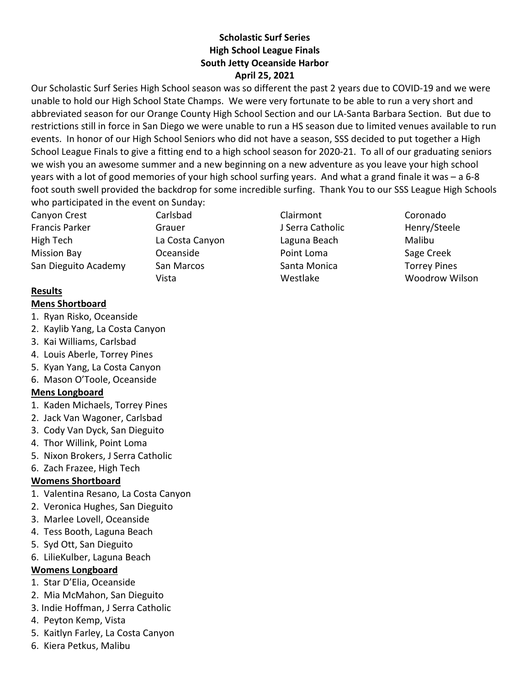#### Scholastic Surf Series High School League Finals South Jetty Oceanside Harbor April 25, 2021

Our Scholastic Surf Series High School season was so different the past 2 years due to COVID-19 and we were unable to hold our High School State Champs. We were very fortunate to be able to run a very short and abbreviated season for our Orange County High School Section and our LA-Santa Barbara Section. But due to restrictions still in force in San Diego we were unable to run a HS season due to limited venues available to run events. In honor of our High School Seniors who did not have a season, SSS decided to put together a High School League Finals to give a fitting end to a high school season for 2020-21. To all of our graduating seniors we wish you an awesome summer and a new beginning on a new adventure as you leave your high school years with a lot of good memories of your high school surfing years. And what a grand finale it was – a 6-8 foot south swell provided the backdrop for some incredible surfing. Thank You to our SSS League High Schools who participated in the event on Sunday:

Canyon Crest Carlsbad Clairmont Coronado Francis Parker **Grauer** Grauer Grauer J Serra Catholic Henry/Steele High Tech La Costa Canyon Laguna Beach Malibu Mission Bay **COLET CONTACK CONTACK CONTENT** Point Loma **COLET** Sage Creek San Dieguito Academy San Marcos Santa Monica Torrey Pines

Vista Westlake Woodrow Wilson

#### Results

#### Mens Shortboard

- 1. Ryan Risko, Oceanside
- 2. Kaylib Yang, La Costa Canyon
- 3. Kai Williams, Carlsbad
- 4. Louis Aberle, Torrey Pines
- 5. Kyan Yang, La Costa Canyon
- 6. Mason O'Toole, Oceanside

# Mens Longboard

- 1. Kaden Michaels, Torrey Pines
- 2. Jack Van Wagoner, Carlsbad
- 3. Cody Van Dyck, San Dieguito
- 4. Thor Willink, Point Loma
- 5. Nixon Brokers, J Serra Catholic
- 6. Zach Frazee, High Tech

# Womens Shortboard

- 1. Valentina Resano, La Costa Canyon
- 2. Veronica Hughes, San Dieguito
- 3. Marlee Lovell, Oceanside
- 4. Tess Booth, Laguna Beach
- 5. Syd Ott, San Dieguito
- 6. LilieKulber, Laguna Beach

# Womens Longboard

- 1. Star D'Elia, Oceanside
- 2. Mia McMahon, San Dieguito
- 3. Indie Hoffman, J Serra Catholic
- 4. Peyton Kemp, Vista
- 5. Kaitlyn Farley, La Costa Canyon
- 6. Kiera Petkus, Malibu